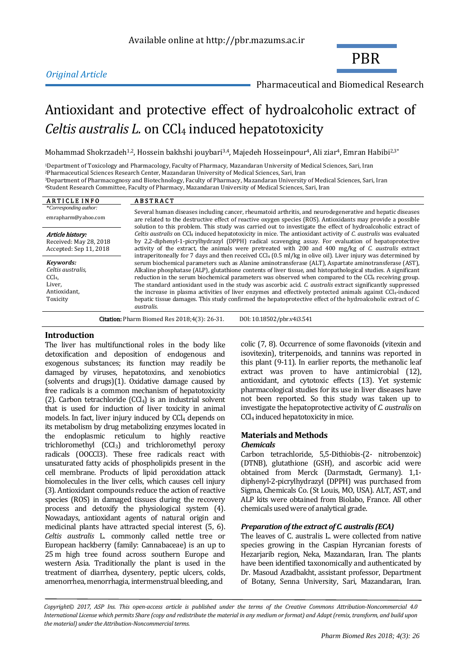# *Original Article*

PBR

Pharmaceutical and Biomedical Research

# Antioxidant and protective effect of hydroalcoholic extract of *Celtis australis L.* on CCl<sub>4</sub> induced hepatotoxicity

Mohammad Shokrzadeh<sup>1,2</sup>, Hossein bakhshi jouybari<sup>3,4</sup>, Majedeh Hosseinpour<sup>4</sup>, Ali ziar<sup>4</sup>, Emran Habibi<sup>2,3\*</sup>

<sup>1</sup>Department of Toxicology and Pharmacology, Faculty of Pharmacy, Mazandaran University of Medical Sciences, Sari, Iran <sup>2</sup>Pharmaceutical Sciences Research Center, Mazandaran University of Medical Sciences, Sari, Iran <sup>3</sup>Department of Pharmacognosy and Biotechnology, Faculty of Pharmacy, Mazandaran University of Medical Sciences, Sari, Iran

<sup>4</sup>Student Research Committee, Faculty of Pharmacy, Mazandaran University of Medical Sciences, Sari, Iran

| <b>ARTICLE INFO</b>                                                                      | <b>ABSTRACT</b>                                                                                                                                                                                                                                                                                                                                                                                                                                                                                                                                                                                                                                                                                                   |  |  |  |  |
|------------------------------------------------------------------------------------------|-------------------------------------------------------------------------------------------------------------------------------------------------------------------------------------------------------------------------------------------------------------------------------------------------------------------------------------------------------------------------------------------------------------------------------------------------------------------------------------------------------------------------------------------------------------------------------------------------------------------------------------------------------------------------------------------------------------------|--|--|--|--|
| *Corresponding author:                                                                   | Several human diseases including cancer, rheumatoid arthritis, and neurodegenerative and hepatic diseases                                                                                                                                                                                                                                                                                                                                                                                                                                                                                                                                                                                                         |  |  |  |  |
| emrapharm@yahoo.com                                                                      | are related to the destructive effect of reactive oxygen species (ROS). Antioxidants may provide a possible<br>solution to this problem. This study was carried out to investigate the effect of hydroalcoholic extract of                                                                                                                                                                                                                                                                                                                                                                                                                                                                                        |  |  |  |  |
| Article history:<br>Received: May 28, 2018<br>Accepted: Sep 11, 2018                     | Celtis australis on CCl <sub>4</sub> induced hepatotoxicity in mice. The antioxidant activity of C. australis was evaluated<br>by 2.2-diphenyl-1-picrylhydrazyl (DPPH) radical scavenging assay. For evaluation of hepatoprotective<br>activity of the extract, the animals were pretreated with 200 and 400 mg/kg of C. australis extract<br>intraperitoneally for 7 days and then received $CCl_4$ (0.5 ml/kg in olive oil). Liver injury was determined by                                                                                                                                                                                                                                                     |  |  |  |  |
| Kevwords:<br>Celtis australis,<br>CCl <sub>4</sub><br>Liver,<br>Antioxidant,<br>Toxicity | serum biochemical parameters such as Alanine aminotransferase (ALT), Aspartate aminotransferase (AST),<br>Alkaline phosphatase (ALP), glutathione contents of liver tissue, and histopathological studies. A significant<br>reduction in the serum biochemical parameters was observed when compared to the $CCl4$ receiving group.<br>The standard antioxidant used in the study was ascorbic acid. C. australis extract significantly suppressed<br>the increase in plasma activities of liver enzymes and effectively protected animals against CCl <sub>4</sub> -induced<br>hepatic tissue damages. This study confirmed the hepatoprotective effect of the hydroalcoholic extract of C.<br><i>australis.</i> |  |  |  |  |
| DOI: 10.18502/pbr.v4i3.541<br><b>Citation:</b> Pharm Biomed Res 2018;4(3): 26-31.        |                                                                                                                                                                                                                                                                                                                                                                                                                                                                                                                                                                                                                                                                                                                   |  |  |  |  |

# **Introduction**

The liver has multifunctional roles in the body like detoxification and deposition of endogenous and exogenous substances; its function may readily be damaged by viruses, hepatotoxins, and xenobiotics (solvents and drugs)(1). Oxidative damage caused by free radicals is a common mechanism of hepatotoxicity (2). Carbon tetrachloride  $(CCl<sub>4</sub>)$  is an industrial solvent that is used for induction of liver toxicity in animal models. In fact, liver injury induced by  $CCl<sub>4</sub>$  depends on its metabolism by drug metabolizing enzymes located in the endoplasmic reticulum to highly reactive trichloromethyl (CCI3) and trichloromethyl peroxy radicals (OOCCl3). These free radicals react with unsaturated fatty acids of phospholipids present in the cell membrane. Products of lipid peroxidation attack biomolecules in the liver cells, which causes cell injury (3). Antioxidant compounds reduce the action of reactive species (ROS) in damaged tissues during the recovery process and detoxify the physiological system (4). Nowadays, antioxidant agents of natural origin and medicinal plants have attracted special interest (5, 6). *Celtis australis* L. commonly called nettle tree or European hackberry (family: Cannabaceae) is an up to 25 m high tree found across southern Europe and western Asia. Traditionally the plant is used in the treatment of diarrhea, dysentery, peptic ulcers, colds, amenorrhea, menorrhagia, intermenstrual bleeding, and

colic (7, 8). Occurrence of some flavonoids (vitexin and isovitexin), triterpenoids, and tannins was reported in this plant (9-11). In earlier reports, the methanolic leaf extract was proven to have antimicrobial (12), antioxidant, and cytotoxic effects (13). Yet systemic pharmacological studies for its use in liver diseases have not been reported. So this study was taken up to investigate the hepatoprotective activity of *C. australis* on CCl<sup>4</sup> induced hepatotoxicity in mice.

# **Materials and Methods**

# *Chemicals*

Carbon tetrachloride, 5,5-Dithiobis-(2- nitrobenzoic) (DTNB), glutathione (GSH), and ascorbic acid were obtained from Merck (Darmstadt, Germany). 1,1 diphenyl-2-picrylhydrazyl (DPPH) was purchased from Sigma, Chemicals Co. (St Louis, MO, USA). ALT, AST, and ALP kits were obtained from Biolabo, France. All other chemicals used were of analytical grade.

# *Preparation of the extract of C. australis (ECA)*

The leaves of C. australis L. were collected from native species growing in the Caspian Hyrcanian forests of Hezarjarib region, Neka, Mazandaran, Iran. The plants have been identified taxonomically and authenticated by Dr. Masoud Azadbakht, assistant professor, Department of Botany, Senna University, Sari, Mazandaran, Iran.

*Copyright© 2017, ASP Ins. This open-access article is published under the terms of the Creative Commons Attribution-Noncommercial 4.0 International License which permits Share (copy and redistribute the material in any medium or format) and Adapt (remix, transform, and build upon the material) under the Attribution-Noncommercial terms.*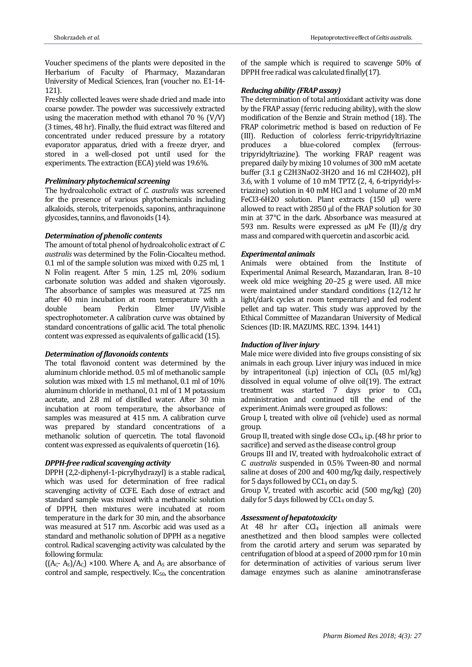Voucher specimens of the plants were deposited in the Herbarium of Faculty of Pharmacy, Mazandaran University of Medical Sciences, Iran (voucher no. E1-14- 121).

Freshly collected leaves were shade dried and made into coarse powder. The powder was successively extracted using the maceration method with ethanol 70 % (V/V) (3 times, 48 hr). Finally, the fluid extract was filtered and concentrated under reduced pressure by a rotatory evaporator apparatus, dried with a freeze dryer, and stored in a well-closed pot until used for the experiments. The extraction (ECA) yield was 19.6%.

# *Preliminary phytochemical screening*

The hydroalcoholic extract of *C. australis* was screened for the presence of various phytochemicals including alkaloids, sterols, triterpenoids, saponins, anthraquinone glycosides, tannins, and flavonoids (14).

# *Determination of phenolic contents*

The amount of total phenol of hydroalcoholic extract of *C. australis* was determined by the Folin-Ciocalteu method. 0.1 ml of the sample solution was mixed with 0.25 ml, 1 N Folin reagent. After 5 min, 1.25 ml, 20% sodium carbonate solution was added and shaken vigorously. The absorbance of samples was measured at 725 nm after 40 min incubation at room temperature with a double beam Perkin Elmer UV/Visible spectrophotometer. A calibration curve was obtained by standard concentrations of gallic acid. The total phenolic content was expressed as equivalents of gallic acid (15).

#### *Determination of flavonoids contents*

The total flavonoid content was determined by the aluminum chloride method. 0.5 ml of methanolic sample solution was mixed with 1.5 ml methanol, 0.1 ml of 10% aluminum chloride in methanol, 0.1 ml of 1 M potassium acetate, and 2.8 ml of distilled water. After 30 min incubation at room temperature, the absorbance of samples was measured at 415 nm. A calibration curve was prepared by standard concentrations of a methanolic solution of quercetin. The total flavonoid content was expressed as equivalents of quercetin (16).

# *DPPH-free radical scavenging activity*

DPPH (2,2-diphenyl-1-picrylhydrazyl) is a stable radical, which was used for determination of free radical scavenging activity of CCFE. Each dose of extract and standard sample was mixed with a methanolic solution of DPPH, then mixtures were incubated at room temperature in the dark for 30 min, and the absorbance was measured at 517 nm. Ascorbic acid was used as a standard and methanolic solution of DPPH as a negative control. Radical scavenging activity was calculated by the following formula:

 $((A<sub>C</sub>- A<sub>S</sub>)/A<sub>C</sub>) \times 100$ . Where  $A<sub>c</sub>$  and  $A<sub>S</sub>$  are absorbance of control and sample, respectively.  $IC_{50}$ , the concentration

of the sample which is required to scavenge 50% of DPPH free radical was calculated finally(17).

#### *Reducing ability (FRAP assay)*

The determination of total antioxidant activity was done by the FRAP assay (ferric reducing ability), with the slow modification of the Benzie and Strain method (18). The FRAP colorimetric method is based on reduction of Fe (III). Reduction of colorless ferric-tripyridyltriazine produces a blue-colored complex (ferroustripyridyltriazine). The working FRAP reagent was prepared daily by mixing 10 volumes of 300 mM acetate buffer (3.1 g C2H3NaO2·3H2O and 16 ml C2H4O2), pH 3.6, with 1 volume of 10 mM TPTZ (2, 4, 6-tripyridyl-striazine) solution in 40 mM HCl and 1 volume of 20 mM FeCl3·6H2O solution. Plant extracts (150 μl) were allowed to react with 2850 μl of the FRAP solution for 30 min at 37°C in the dark. Absorbance was measured at 593 nm. Results were expressed as μM Fe (II)/g dry mass and compared with quercetin and ascorbic acid.

#### *Experimental animals*

Animals were obtained from the Institute of Experimental Animal Research, Mazandaran, Iran. 8–10 week old mice weighing 20–25 g were used. All mice were maintained under standard conditions (12/12 hr light/dark cycles at room temperature) and fed rodent pellet and tap water. This study was approved by the Ethical Committee of Mazandaran University of Medical Sciences (ID: IR. MAZUMS. REC. 1394. 1441)

# *Induction of liver injury*

Male mice were divided into five groups consisting of six animals in each group. Liver injury was induced in mice by intraperitoneal (i.p) injection of  $CCl<sub>4</sub>$  (0.5 ml/kg) dissolved in equal volume of olive oil(19). The extract treatment was started 7 days prior to CCl<sup>4</sup> administration and continued till the end of the experiment. Animals were grouped as follows:

Group I, treated with olive oil (vehicle) used as normal group.

Group II, treated with single dose  $CCl_4$ , i.p. (48 hr prior to sacrifice) and served as the disease control group

Groups III and IV, treated with hydroalcoholic extract of *C. australis* suspended in 0.5% Tween-80 and normal saline at doses of 200 and 400 mg/kg daily, respectively for 5 days followed by  $CC1<sub>4</sub>$  on day 5.

Group V, treated with ascorbic acid (500 mg/kg) (20) daily for 5 days followed by  $CC1<sub>4</sub>$  on day 5.

#### *Assessment of hepatotoxicity*

At 48 hr after CCl<sub>4</sub> injection all animals were anesthetized and then blood samples were collected from the carotid artery and serum was separated by centrifugation of blood at a speed of 2000 rpm for 10 min for determination of activities of various serum liver damage enzymes such as alanine aminotransferase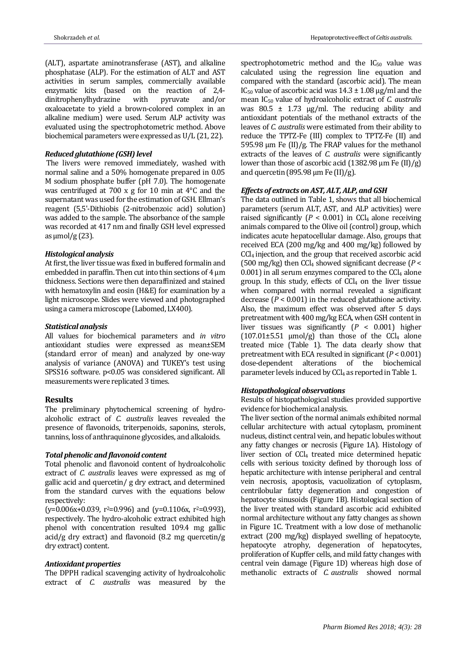(ALT), aspartate aminotransferase (AST), and alkaline phosphatase (ALP). For the estimation of ALT and AST activities in serum samples, commercially available enzymatic kits (based on the reaction of 2,4 dinitrophenylhydrazine with pyruvate and/or oxaloacetate to yield a brown-colored complex in an alkaline medium) were used. Serum ALP activity was evaluated using the spectrophotometric method. Above biochemical parameters were expressed as U/L (21, 22).

#### *Reduced glutathione (GSH) level*

The livers were removed immediately, washed with normal saline and a 50% homogenate prepared in 0.05 M sodium phosphate buffer (pH 7.0). The homogenate was centrifuged at 700 x g for 10 min at 4°C and the supernatant was used for the estimation of GSH. Ellman's reagent (5,5'-Dithiobis (2-nitrobenzoic acid) solution) was added to the sample. The absorbance of the sample was recorded at 417 nm and finally GSH level expressed as  $\mu$ mol/g (23).

#### *Histological analysis*

At first, the liver tissue was fixed in buffered formalin and embedded in paraffin. Then cut into thin sections of  $4 \mu m$ thickness. Sections were then deparaffinized and stained with hematoxylin and eosin (H&E) for examination by a light microscope. Slides were viewed and photographed using a camera microscope (Labomed, LX400).

#### *Statistical analysis*

All values for biochemical parameters and *in vitro* antioxidant studies were expressed as mean±SEM (standard error of mean) and analyzed by one-way analysis of variance (ANOVA) and TUKEY's test using SPSS16 software. p<0.05 was considered significant. All measurements were replicated 3 times.

# **Results**

The preliminary phytochemical screening of hydroalcoholic extract of *C. australis* leaves revealed the presence of flavonoids, triterpenoids, saponins, sterols, tannins, loss of anthraquinone glycosides, and alkaloids.

#### *Total phenolic and flavonoid content*

Total phenolic and flavonoid content of hydroalcoholic extract of *C. australis* leaves were expressed as mg of gallic acid and quercetin/ g dry extract, and determined from the standard curves with the equations below respectively:

 $(y=0.006x+0.039, r^2=0.996)$  and  $(y=0.1106x, r^2=0.993)$ , respectively. The hydro-alcoholic extract exhibited high phenol with concentration resulted 109.4 mg gallic acid/g dry extract) and flavonoid  $(8.2 \text{ mg} \text{ quercetin/g})$ dry extract) content.

#### *Antioxidant properties*

The DPPH radical scavenging activity of hydroalcoholic extract of *C. australis* was measured by the spectrophotometric method and the  $IC_{50}$  value was calculated using the regression line equation and compared with the standard (ascorbic acid). The mean IC<sub>50</sub> value of ascorbic acid was  $14.3 \pm 1.08$  μg/ml and the mean IC<sup>50</sup> value of hydroalcoholic extract of *C. australis* was  $80.5 \pm 1.73$   $\mu$ g/ml. The reducing ability and antioxidant potentials of the methanol extracts of the leaves of *C. australis* were estimated from their ability to reduce the TPTZ-Fe (III) complex to TPTZ-Fe (II) and 595.98 μm Fe (II)/g. The FRAP values for the methanol extracts of the leaves of *C. australis* were significantly lower than those of ascorbic acid (1382.98 μm Fe (II)/g) and quercetin (895.98  $\mu$ m Fe (II)/g).

#### *Effects of extracts on AST, ALT, ALP, and GSH*

The data outlined in Table 1, shows that all biochemical parameters (serum ALT, AST, and ALP activities) were raised significantly  $(P < 0.001)$  in CCl<sub>4</sub> alone receiving animals compared to the Olive oil (control) group, which indicates acute hepatocellular damage. Also, groups that received ECA (200 mg/kg and 400 mg/kg) followed by CCl4 injection, and the group that received ascorbic acid (500 mg/kg) then  $CCl<sub>4</sub>$  showed significant decrease ( $P <$  $0.001$ ) in all serum enzymes compared to the CCl<sub>4</sub> alone group. In this study, effects of  $CCl<sub>4</sub>$  on the liver tissue when compared with normal revealed a significant decrease  $(P < 0.001)$  in the reduced glutathione activity. Also, the maximum effect was observed after 5 days pretreatment with 400 mg/kg ECA, when GSH content in liver tissues was significantly (*P* < 0.001) higher  $(107.01\pm5.51 \text{µmol/g})$  than those of the CCl<sub>4</sub> alone treated mice (Table 1). The data clearly show that pretreatment with ECA resulted in significant (*P* < 0.001) dose-dependent alterations of the biochemical parameter levels induced by CCl<sub>4</sub> as reported in Table 1.

#### *Histopathological observations*

Results of histopathological studies provided supportive evidence for biochemical analysis.

The liver section of the normal animals exhibited normal cellular architecture with actual cytoplasm, prominent nucleus, distinct central vein, and hepatic lobules without any fatty changes or necrosis (Figure 1A). Histology of liver section of CCl<sup>4</sup> treated mice determined hepatic cells with serious toxicity defined by thorough loss of hepatic architecture with intense peripheral and central vein necrosis, apoptosis, vacuolization of cytoplasm, centrilobular fatty degeneration and congestion of hepatocyte sinusoids (Figure 1B). Histological section of the liver treated with standard ascorbic acid exhibited normal architecture without any fatty changes as shown in Figure 1C. Treatment with a low dose of methanolic extract (200 mg/kg) displayed swelling of hepatocyte, hepatocyte atrophy, degeneration of hepatocytes, proliferation of Kupffer cells, and mild fatty changes with central vein damage (Figure 1D) whereas high dose of methanolic extracts of *C. australis* showed normal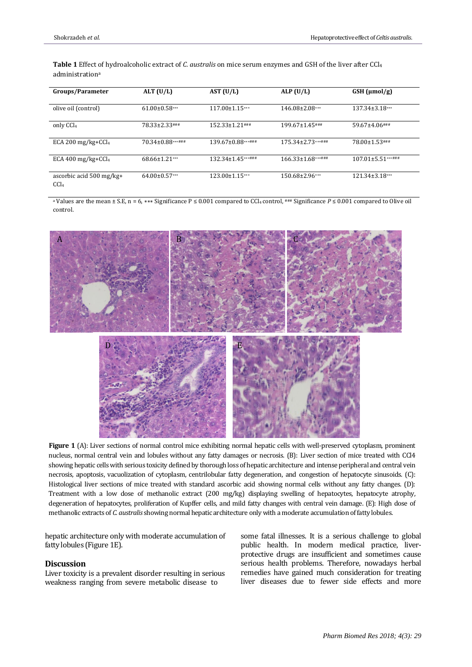**Table 1** Effect of hydroalcoholic extract of *C. australis* on mice serum enzymes and GSH of the liver after CCl<sup>4</sup> administration<sup>a</sup>

| Groups/Parameter                             | ALT $(U/L)$         | AST $(U/L)$              | ALP $(U/L)$             | $GSH$ ( $\mu$ mol/g)  |
|----------------------------------------------|---------------------|--------------------------|-------------------------|-----------------------|
| olive oil (control)                          | $61.00 \pm 0.58***$ | $117.00 \pm 1.15***$     | $146.08\pm2.08***$      | $137.34 \pm 3.18$ *** |
| only CCl <sub>4</sub>                        | 78.33±2.33###       | $152.33 \pm 1.21$ ###    | $199.67 \pm 1.45$ ###   | $59.67 \pm 4.06$ ###  |
| ECA 200 mg/kg+CCl <sub>4</sub>               | 70.34±0.88***###    | $139.67 \pm 0.88***$ ### | $175.34 \pm 2.73******$ | 78.00±1.53###         |
| ECA 400 mg/kg+CCl <sub>4</sub>               | $68.66 \pm 1.21***$ | $132.34 \pm 1.45***$     | $166.33 \pm 1.68******$ | $107.01 \pm 5.51***$  |
| ascorbic acid 500 mg/kg+<br>CCl <sub>4</sub> | $64.00\pm0.57***$   | $123.00 \pm 1.15***$     | $150.68\pm2.96***$      | $121.34 \pm 3.18***$  |

<sup>a</sup> Values are the mean ± S.E, n = 6, \*\*\* Significance P ≤ 0.001 compared to CCl<sub>4</sub> control, ### Significance P ≤ 0.001 compared to Olive oil control.



Figure 1 (A): Liver sections of normal control mice exhibiting normal hepatic cells with well-preserved cytoplasm, prominent nucleus, normal central vein and lobules without any fatty damages or necrosis. (B): Liver section of mice treated with CCl4 showing hepatic cells with serious toxicity defined by thorough loss of hepatic architecture and intense peripheral and central vein necrosis, apoptosis, vacuolization of cytoplasm, centrilobular fatty degeneration, and congestion of hepatocyte sinusoids. (C): Histological liver sections of mice treated with standard ascorbic acid showing normal cells without any fatty changes. (D): Treatment with a low dose of methanolic extract (200 mg/kg) displaying swelling of hepatocytes, hepatocyte atrophy, degeneration of hepatocytes, proliferation of Kupffer cells, and mild fatty changes with central vein damage. (E): High dose of methanolic extracts of *C. australis* showing normal hepatic architecture only with a moderate accumulation of fatty lobules.

hepatic architecture only with moderate accumulation of fatty lobules (Figure 1E).

#### **Discussion**

Liver toxicity is a prevalent disorder resulting in serious weakness ranging from severe metabolic disease to

some fatal illnesses. It is a serious challenge to global public health. In modern medical practice, liverprotective drugs are insufficient and sometimes cause serious health problems. Therefore, nowadays herbal remedies have gained much consideration for treating liver diseases due to fewer side effects and more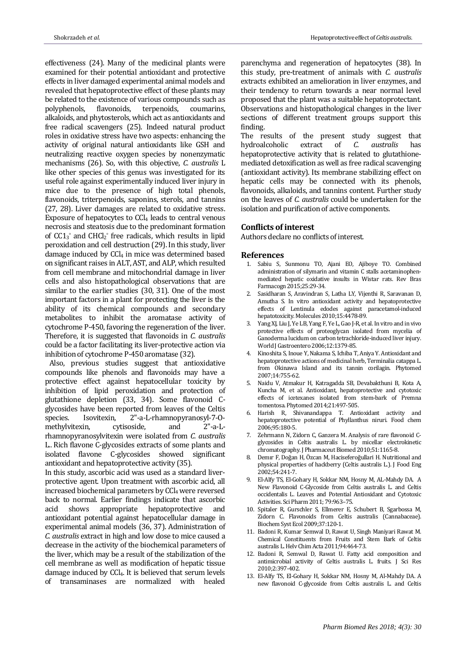effectiveness (24). Many of the medicinal plants were examined for their potential antioxidant and protective effects in liver damaged experimental animal models and revealed that hepatoprotective effect of these plants may be related to the existence of various compounds such as polyphenols, flavonoids, terpenoids, coumarins, alkaloids, and phytosterols, which act as antioxidants and free radical scavengers (25). Indeed natural product roles in oxidative stress have two aspects: enhancing the activity of original natural antioxidants like GSH and neutralizing reactive oxygen species by nonenzymatic mechanisms (26). So, with this objective, *C. australis* L like other species of this genus was investigated for its useful role against experimentally induced liver injury in mice due to the presence of high total phenols, flavonoids, triterpenoids, saponins, sterols, and tannins (27, 28). Liver damages are related to oxidative stress. Exposure of hepatocytes to CCl<sup>4</sup> leads to central venous necrosis and steatosis due to the predominant formation of  $CC1<sub>3</sub>$ ° and  $CHCl<sub>2</sub>$ ° free radicals, which results in lipid peroxidation and cell destruction (29). In this study, liver damage induced by CCl<sub>4</sub> in mice was determined based on significant raises in ALT, AST, and ALP, which resulted from cell membrane and mitochondrial damage in liver cells and also histopathological observations that are similar to the earlier studies (30, 31). One of the most important factors in a plant for protecting the liver is the ability of its chemical compounds and secondary metabolites to inhibit the aromatase activity of cytochrome P-450, favoring the regeneration of the liver. Therefore, it is suggested that flavonoids in *C. australis* could be a factor facilitating its liver-protective action via inhibition of cytochrome P-450 aromatase (32).

 Also, previous studies suggest that antioxidative compounds like phenols and flavonoids may have a protective effect against hepatocellular toxicity by inhibition of lipid peroxidation and protection of glutathione depletion (33, 34). Some flavonoid Cglycosides have been reported from leaves of the Celtis species. Isovitexin, 2"-a-L-rhamnopyranosyl-7-Omethylvitexin, cytisoside, and 2"-a-Lrhamnopyranosylvitexin were isolated from *C. australis*  L*.*. Rich flavone C-glycosides extracts of some plants and isolated flavone C-glycosides showed significant antioxidant and hepatoprotective activity (35).

In this study, ascorbic acid was used as a standard liverprotective agent. Upon treatment with ascorbic acid, all increased biochemical parameters by CCl<sub>4</sub> were reversed back to normal. Earlier findings indicate that ascorbic acid shows appropriate hepatoprotective and antioxidant potential against hepatocellular damage in experimental animal models (36, 37). Administration of *C. australis* extract in high and low dose to mice caused a decrease in the activity of the biochemical parameters of the liver, which may be a result of the stabilization of the cell membrane as well as modification of hepatic tissue damage induced by CCl4. It is believed that serum levels of transaminases are normalized with healed

parenchyma and regeneration of hepatocytes (38). In this study, pre-treatment of animals with *C. australis* extracts exhibited an amelioration in liver enzymes, and their tendency to return towards a near normal level proposed that the plant was a suitable hepatoprotectant. Observations and histopathological changes in the liver sections of different treatment groups support this finding.

The results of the present study suggest that hydroalcoholic extract of *C. australis* has hepatoprotective activity that is related to glutathionemediated detoxification as well as free radical scavenging (antioxidant activity). Its membrane stabilizing effect on hepatic cells may be connected with its phenols, flavonoids, alkaloids, and tannins content. Further study on the leaves of *C. australis* could be undertaken for the isolation and purification of active components.

# **Conflicts of interest**

Authors declare no conflicts of interest.

#### **References**

- 1. Sabiu S, Sunmonu TO, Ajani EO, Ajiboye TO. Combined administration of silymarin and vitamin C stalls acetaminophenmediated hepatic oxidative insults in Wistar rats. Rev Bras Farmacogn 2015;25:29-34.
- 2. Sasidharan S, Aravindran S, Latha LY, Vijenthi R, Saravanan D, Amutha S. In vitro antioxidant activity and hepatoprotective effects of Lentinula edodes against paracetamol-induced hepatotoxicity. Molecules 2010;15:4478-89.
- 3. Yang XJ, Liu J, Ye LB, Yang F, Ye L, Gao J-R, et al. In vitro and in vivo protective effects of proteoglycan isolated from mycelia of Ganoderma lucidum on carbon tetrachloride-induced liver injury. World J Gastroentero 2006;12:1379-85.
- 4. Kinoshita S, Inoue Y, Nakama S, Ichiba T, Aniya Y. Antioxidant and hepatoprotective actions of medicinal herb, Terminalia catappa L. from Okinawa Island and its tannin corilagin. Phytomed 2007;14:755-62.
- 5. Naidu V, Atmakur H, Katragadda SB, Devabakthuni B, Kota A, Kuncha M, et al. Antioxidant, hepatoprotective and cytotoxic effects of icetexanes isolated from stem-bark of Premna tomentosa. Phytomed 2014;21:497-505.
- 6. Harish R, Shivanandappa T. Antioxidant activity and hepatoprotective potential of Phyllanthus niruri. Food chem 2006;95:180-5.
- 7. Zehrmann N, Zidorn C, Ganzera M. Analysis of rare flavonoid Cglycosides in Celtis australis L. by micellar electrokinetic chromatography. J Pharmaceut Biomed 2010;51:1165-8.
- 8. Demır F, Doğan H, Özcan M, Haciseferoğullari H. Nutritional and physical properties of hackberry (Celtis australis L.). J Food Eng 2002;54:241-7.
- 9. El-Alfy TS, El-Gohary H, Sokkar NM, Hosny M, AL-Mahdy DA. A New Flavonoid C-Glycoside from Celtis australis L. and Celtis occidentalis L. Leaves and Potential Antioxidant and Cytotoxic Activities. Sci Pharm 2011; 79:963–75.
- 10. Spitaler R, Gurschler S, Ellmerer E, Schubert B, Sgarbossa M, Zidorn C. Flavonoids from Celtis australis (Cannabaceae). Biochem Syst Ecol 2009;37:120-1.
- 11. Badoni R, Kumar Semwal D, Rawat U, Singh Maniyari Rawat M. Chemical Constituents from Fruits and Stem Bark of Celtis australis L. Helv Chim Acta 2011;94:464-73.
- 12. Badoni R, Semwal D, Rawat U. Fatty acid composition and antimicrobial activity of Celtis australis L. fruits. J Sci Res 2010;2:397-402.
- 13. El-Alfy TS, El-Gohary H, Sokkar NM, Hosny M, Al-Mahdy DA. A new flavonoid C-glycoside from Celtis australis L. and Celtis